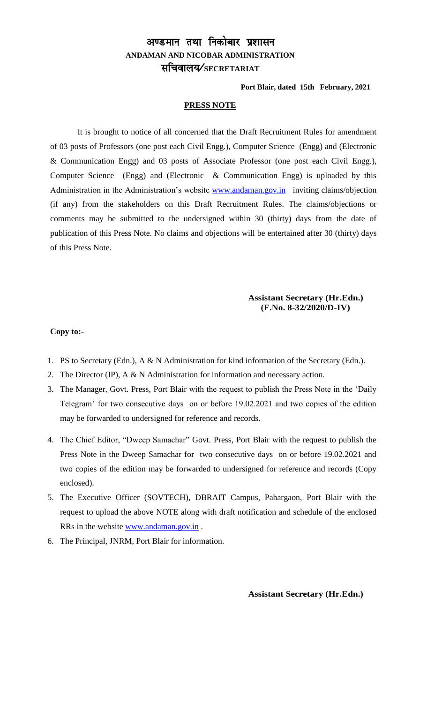# अण्डमान तथा निकोबार प्रशासन **ANDAMAN AND NICOBAR ADMINISTRATION** lfpoky;@**SECRETARIAT**

**Port Blair, dated 15th February, 2021**

#### **PRESS NOTE**

It is brought to notice of all concerned that the Draft Recruitment Rules for amendment of 03 posts of Professors (one post each Civil Engg.), Computer Science (Engg) and (Electronic & Communication Engg) and 03 posts of Associate Professor (one post each Civil Engg.), Computer Science (Engg) and (Electronic & Communication Engg) is uploaded by this Administration in the Administration's website [www.andaman.gov.in](http://www.andaman.gov.in/) inviting claims/objection (if any) from the stakeholders on this Draft Recruitment Rules. The claims/objections or comments may be submitted to the undersigned within 30 (thirty) days from the date of publication of this Press Note. No claims and objections will be entertained after 30 (thirty) days of this Press Note.

#### **Assistant Secretary (Hr.Edn.) (F.No. 8-32/2020/D-IV)**

#### **Copy to:-**

- 1. PS to Secretary (Edn.), A & N Administration for kind information of the Secretary (Edn.).
- 2. The Director (IP), A & N Administration for information and necessary action.
- 3. The Manager, Govt. Press, Port Blair with the request to publish the Press Note in the 'Daily Telegram' for two consecutive days on or before 19.02.2021 and two copies of the edition may be forwarded to undersigned for reference and records.
- 4. The Chief Editor, "Dweep Samachar" Govt. Press, Port Blair with the request to publish the Press Note in the Dweep Samachar for two consecutive days on or before 19.02.2021 and two copies of the edition may be forwarded to undersigned for reference and records (Copy enclosed).
- 5. The Executive Officer (SOVTECH), DBRAIT Campus, Pahargaon, Port Blair with the request to upload the above NOTE along with draft notification and schedule of the enclosed RRs in the website [www.andaman.gov.in](http://www.andaman.gov.in/) .
- 6. The Principal, JNRM, Port Blair for information.

 **Assistant Secretary (Hr.Edn.)**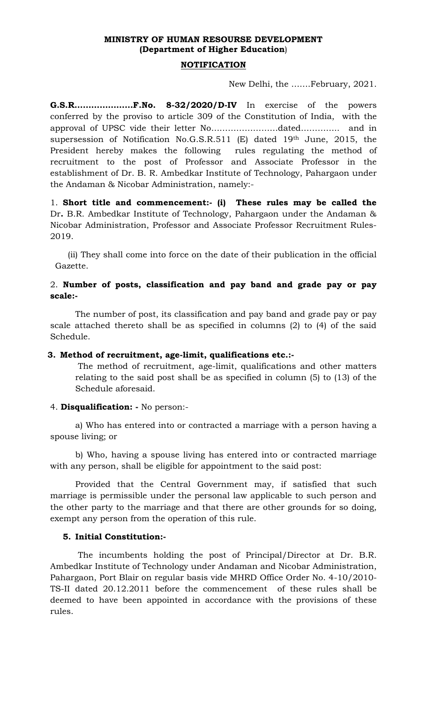# **MINISTRY OF HUMAN RESOURSE DEVELOPMENT (Department of Higher Education**)

### **NOTIFICATION**

New Delhi, the …….February, 2021.

**G.S.R…………………F.No. 8-32/2020/D-IV** In exercise of the powers conferred by the proviso to article 309 of the Constitution of India, with the approval of UPSC vide their letter No……………………dated………….. and in supersession of Notification No.G.S.R.511 (E) dated 19th June, 2015, the President hereby makes the following rules regulating the method of recruitment to the post of Professor and Associate Professor in the establishment of Dr. B. R. Ambedkar Institute of Technology, Pahargaon under the Andaman & Nicobar Administration, namely:-

1. **Short title and commencement:- (i) These rules may be called the** Dr**.** B.R. Ambedkar Institute of Technology, Pahargaon under the Andaman & Nicobar Administration, Professor and Associate Professor Recruitment Rules-2019.

(ii) They shall come into force on the date of their publication in the official Gazette.

## 2. **Number of posts, classification and pay band and grade pay or pay scale:-**

The number of post, its classification and pay band and grade pay or pay scale attached thereto shall be as specified in columns (2) to (4) of the said Schedule.

## **3. Method of recruitment, age-limit, qualifications etc.:-**

The method of recruitment, age-limit, qualifications and other matters relating to the said post shall be as specified in column (5) to (13) of the Schedule aforesaid.

## 4. **Disqualification: -** No person:-

a) Who has entered into or contracted a marriage with a person having a spouse living; or

b) Who, having a spouse living has entered into or contracted marriage with any person, shall be eligible for appointment to the said post:

Provided that the Central Government may, if satisfied that such marriage is permissible under the personal law applicable to such person and the other party to the marriage and that there are other grounds for so doing, exempt any person from the operation of this rule.

## **5. Initial Constitution:-**

The incumbents holding the post of Principal/Director at Dr. B.R. Ambedkar Institute of Technology under Andaman and Nicobar Administration, Pahargaon, Port Blair on regular basis vide MHRD Office Order No. 4-10/2010- TS-II dated 20.12.2011 before the commencement of these rules shall be deemed to have been appointed in accordance with the provisions of these rules.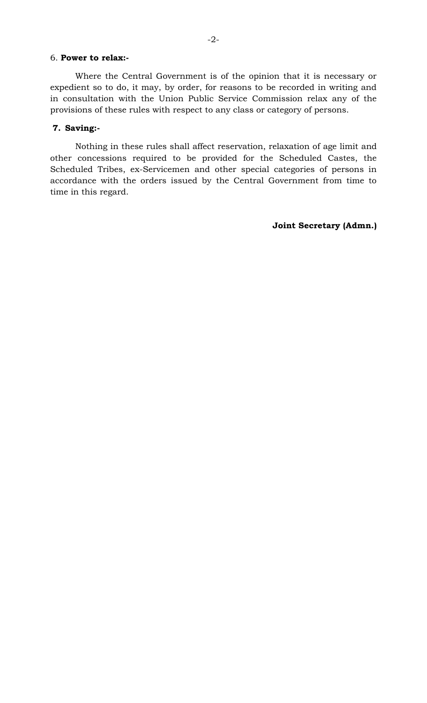#### 6. **Power to relax:-**

Where the Central Government is of the opinion that it is necessary or expedient so to do, it may, by order, for reasons to be recorded in writing and in consultation with the Union Public Service Commission relax any of the provisions of these rules with respect to any class or category of persons.

#### **7. Saving:-**

Nothing in these rules shall affect reservation, relaxation of age limit and other concessions required to be provided for the Scheduled Castes, the Scheduled Tribes, ex-Servicemen and other special categories of persons in accordance with the orders issued by the Central Government from time to time in this regard.

**Joint Secretary (Admn.)**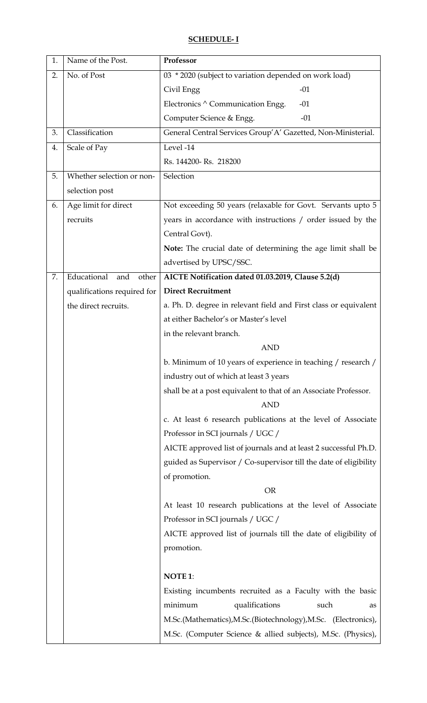# **SCHEDULE- I**

| 1. | Name of the Post.           | Professor                                                         |
|----|-----------------------------|-------------------------------------------------------------------|
| 2. | No. of Post                 | 03 * 2020 (subject to variation depended on work load)            |
|    |                             | $-01$<br>Civil Engg                                               |
|    |                             | Electronics ^ Communication Engg.<br>$-01$                        |
|    |                             | Computer Science & Engg.<br>$-01$                                 |
| 3. | Classification              | General Central Services Group' A' Gazetted, Non-Ministerial.     |
| 4. | Scale of Pay                | Level -14                                                         |
|    |                             | Rs. 144200-Rs. 218200                                             |
| 5. | Whether selection or non-   | Selection                                                         |
|    | selection post              |                                                                   |
| 6. | Age limit for direct        | Not exceeding 50 years (relaxable for Govt. Servants upto 5       |
|    | recruits                    | years in accordance with instructions / order issued by the       |
|    |                             | Central Govt).                                                    |
|    |                             | Note: The crucial date of determining the age limit shall be      |
|    |                             | advertised by UPSC/SSC.                                           |
| 7. | Educational<br>and<br>other | AICTE Notification dated 01.03.2019, Clause 5.2(d)                |
|    | qualifications required for | <b>Direct Recruitment</b>                                         |
|    | the direct recruits.        | a. Ph. D. degree in relevant field and First class or equivalent  |
|    |                             | at either Bachelor's or Master's level                            |
|    |                             | in the relevant branch.                                           |
|    |                             | <b>AND</b>                                                        |
|    |                             | b. Minimum of 10 years of experience in teaching / research /     |
|    |                             | industry out of which at least 3 years                            |
|    |                             | shall be at a post equivalent to that of an Associate Professor.  |
|    |                             | <b>AND</b>                                                        |
|    |                             | c. At least 6 research publications at the level of Associate     |
|    |                             | Professor in SCI journals / UGC /                                 |
|    |                             | AICTE approved list of journals and at least 2 successful Ph.D.   |
|    |                             | guided as Supervisor / Co-supervisor till the date of eligibility |
|    |                             | of promotion.                                                     |
|    |                             | <b>OR</b>                                                         |
|    |                             | At least 10 research publications at the level of Associate       |
|    |                             | Professor in SCI journals / UGC /                                 |
|    |                             | AICTE approved list of journals till the date of eligibility of   |
|    |                             | promotion.                                                        |
|    |                             |                                                                   |
|    |                             | <b>NOTE 1:</b>                                                    |
|    |                             | Existing incumbents recruited as a Faculty with the basic         |
|    |                             | minimum<br>qualifications<br>such<br>as                           |
|    |                             | M.Sc.(Mathematics), M.Sc.(Biotechnology), M.Sc. (Electronics),    |
|    |                             | M.Sc. (Computer Science & allied subjects), M.Sc. (Physics),      |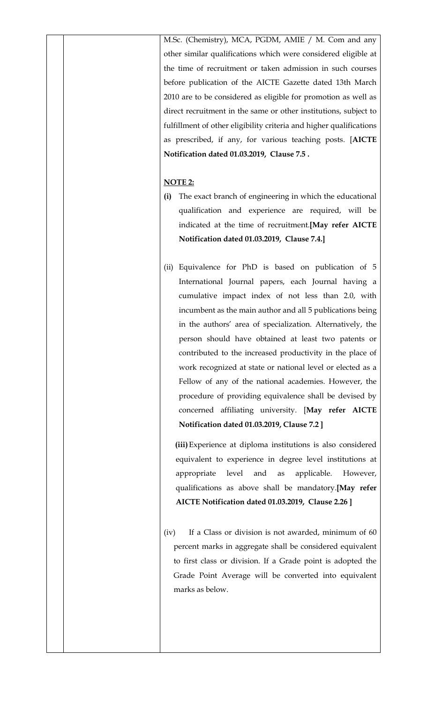M.Sc. (Chemistry), MCA, PGDM, AMIE / M. Com and any other similar qualifications which were considered eligible at the time of recruitment or taken admission in such courses before publication of the AICTE Gazette dated 13th March 2010 are to be considered as eligible for promotion as well as direct recruitment in the same or other institutions, subject to fulfillment of other eligibility criteria and higher qualifications as prescribed, if any, for various teaching posts. [**AICTE Notification dated 01.03.2019, Clause 7.5 .**

### **NOTE 2:**

- **(i)** The exact branch of engineering in which the educational qualification and experience are required, will be indicated at the time of recruitment.**[May refer AICTE Notification dated 01.03.2019, Clause 7.4.]**
- (ii) Equivalence for PhD is based on publication of 5 International Journal papers, each Journal having a cumulative impact index of not less than 2.0, with incumbent as the main author and all 5 publications being in the authors' area of specialization. Alternatively, the person should have obtained at least two patents or contributed to the increased productivity in the place of work recognized at state or national level or elected as a Fellow of any of the national academies. However, the procedure of providing equivalence shall be devised by concerned affiliating university. [**May refer AICTE Notification dated 01.03.2019, Clause 7.2 ]**

**(iii)**Experience at diploma institutions is also considered equivalent to experience in degree level institutions at appropriate level and as applicable. However, qualifications as above shall be mandatory.**[May refer AICTE Notification dated 01.03.2019, Clause 2.26 ]**

(iv) If a Class or division is not awarded, minimum of 60 percent marks in aggregate shall be considered equivalent to first class or division. If a Grade point is adopted the Grade Point Average will be converted into equivalent marks as below.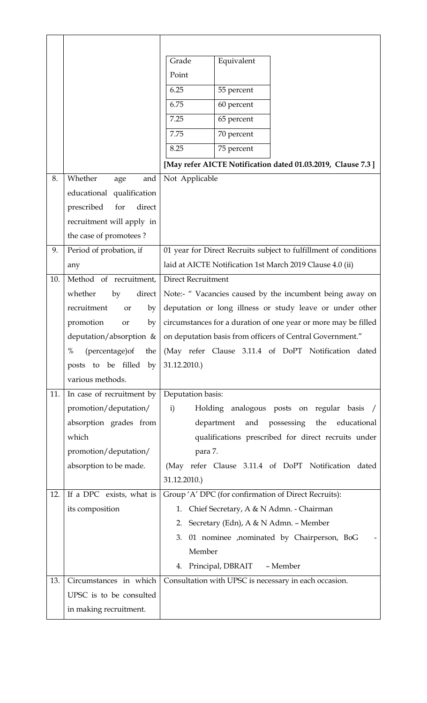|     |                                   | Equivalent<br>Grade                                                                       |
|-----|-----------------------------------|-------------------------------------------------------------------------------------------|
|     |                                   | Point                                                                                     |
|     |                                   | 6.25<br>55 percent                                                                        |
|     |                                   | 6.75<br>60 percent                                                                        |
|     |                                   | 7.25<br>65 percent                                                                        |
|     |                                   | 7.75<br>70 percent                                                                        |
|     |                                   | 75 percent<br>8.25                                                                        |
|     |                                   | [May refer AICTE Notification dated 01.03.2019, Clause 7.3]                               |
| 8.  | Whether<br>and<br>age             | Not Applicable                                                                            |
|     | educational qualification         |                                                                                           |
|     | prescribed<br>direct<br>for       |                                                                                           |
|     | recruitment will apply in         |                                                                                           |
|     | the case of promotees?            |                                                                                           |
| 9.  | Period of probation, if           | 01 year for Direct Recruits subject to fulfillment of conditions                          |
|     | any                               | laid at AICTE Notification 1st March 2019 Clause 4.0 (ii)                                 |
| 10. | Method of recruitment,            | <b>Direct Recruitment</b>                                                                 |
|     | whether<br>by<br>direct           | Note:- " Vacancies caused by the incumbent being away on                                  |
|     | recruitment<br>by<br>or           | deputation or long illness or study leave or under other                                  |
|     | promotion<br>by<br>or             | circumstances for a duration of one year or more may be filled                            |
|     | deputation/absorption &           | on deputation basis from officers of Central Government."                                 |
|     | $\%$<br>$(\text{percentage}) the$ | (May refer Clause 3.11.4 of DoPT Notification dated                                       |
|     | posts to be filled by             | 31.12.2010.                                                                               |
|     | various methods.                  |                                                                                           |
| 11. | In case of recruitment by         | Deputation basis:                                                                         |
|     | promotion/deputation/             | Holding analogous posts on regular basis /<br>i)                                          |
|     | absorption grades from            | and possessing<br>department<br>the educational                                           |
|     | which                             | qualifications prescribed for direct recruits under                                       |
|     | promotion/deputation/             | para 7.                                                                                   |
|     | absorption to be made.            | (May refer Clause 3.11.4 of DoPT Notification dated                                       |
|     |                                   | 31.12.2010.)                                                                              |
| 12. | If a DPC exists, what is          | Group 'A' DPC (for confirmation of Direct Recruits):                                      |
|     | its composition                   | 1. Chief Secretary, A & N Admn. - Chairman                                                |
|     |                                   | 2. Secretary (Edn), A & N Admn. - Member                                                  |
|     |                                   | 01 nominee , nominated by Chairperson, BoG<br>3.<br>Member                                |
|     |                                   |                                                                                           |
| 13. | Circumstances in which            | 4. Principal, DBRAIT<br>- Member<br>Consultation with UPSC is necessary in each occasion. |
|     | UPSC is to be consulted           |                                                                                           |
|     | in making recruitment.            |                                                                                           |
|     |                                   |                                                                                           |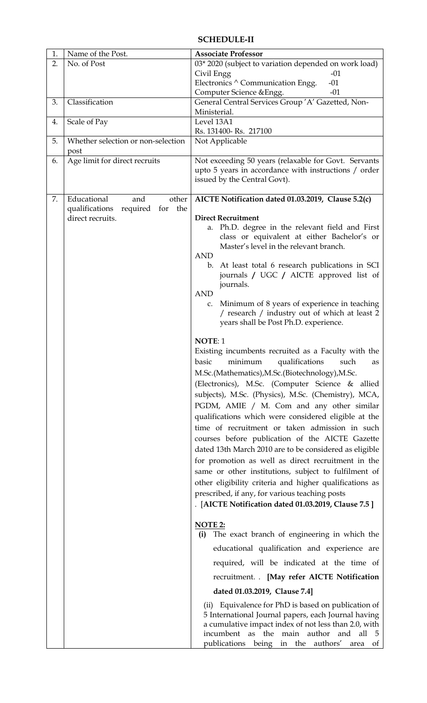### **SCHEDULE-II**

| 1. | Name of the Post.                     | <b>Associate Professor</b>                                                                                 |
|----|---------------------------------------|------------------------------------------------------------------------------------------------------------|
| 2. | No. of Post                           | 03* 2020 (subject to variation depended on work load)                                                      |
|    |                                       | Civil Engg<br>$-01$                                                                                        |
|    |                                       | Electronics $\wedge$ Communication Engg.<br>$-01$                                                          |
|    |                                       | $-01$<br>Computer Science & Engg.                                                                          |
| 3. | Classification                        | General Central Services Group 'A' Gazetted, Non-                                                          |
|    |                                       | Ministerial.                                                                                               |
| 4. | Scale of Pay                          | Level 13A1                                                                                                 |
|    |                                       | Rs. 131400-Rs. 217100                                                                                      |
| 5. | Whether selection or non-selection    | Not Applicable                                                                                             |
|    | post                                  |                                                                                                            |
| 6. | Age limit for direct recruits         | Not exceeding 50 years (relaxable for Govt. Servants                                                       |
|    |                                       | upto 5 years in accordance with instructions / order<br>issued by the Central Govt).                       |
|    |                                       |                                                                                                            |
| 7. | Educational<br>other<br>and           | AICTE Notification dated 01.03.2019, Clause 5.2(c)                                                         |
|    | qualifications<br>required for<br>the |                                                                                                            |
|    | direct recruits.                      | <b>Direct Recruitment</b>                                                                                  |
|    |                                       | a. Ph.D. degree in the relevant field and First                                                            |
|    |                                       | class or equivalent at either Bachelor's or                                                                |
|    |                                       | Master's level in the relevant branch.                                                                     |
|    |                                       | <b>AND</b>                                                                                                 |
|    |                                       | At least total 6 research publications in SCI<br>$\mathbf{b}$ .<br>journals / UGC / AICTE approved list of |
|    |                                       | journals.                                                                                                  |
|    |                                       | <b>AND</b>                                                                                                 |
|    |                                       | Minimum of 8 years of experience in teaching<br>C.                                                         |
|    |                                       | / research / industry out of which at least 2                                                              |
|    |                                       | years shall be Post Ph.D. experience.                                                                      |
|    |                                       |                                                                                                            |
|    |                                       | NOTE: 1                                                                                                    |
|    |                                       | Existing incumbents recruited as a Faculty with the                                                        |
|    |                                       | basic minimum qualifications such<br>as                                                                    |
|    |                                       | M.Sc.(Mathematics), M.Sc.(Biotechnology), M.Sc.                                                            |
|    |                                       | (Electronics), M.Sc. (Computer Science & allied                                                            |
|    |                                       | subjects), M.Sc. (Physics), M.Sc. (Chemistry), MCA,                                                        |
|    |                                       | PGDM, AMIE / M. Com and any other similar                                                                  |
|    |                                       | qualifications which were considered eligible at the                                                       |
|    |                                       | time of recruitment or taken admission in such                                                             |
|    |                                       | courses before publication of the AICTE Gazette                                                            |
|    |                                       | dated 13th March 2010 are to be considered as eligible                                                     |
|    |                                       | for promotion as well as direct recruitment in the                                                         |
|    |                                       | same or other institutions, subject to fulfilment of                                                       |
|    |                                       | other eligibility criteria and higher qualifications as                                                    |
|    |                                       | prescribed, if any, for various teaching posts                                                             |
|    |                                       | . [AICTE Notification dated 01.03.2019, Clause 7.5]                                                        |
|    |                                       |                                                                                                            |
|    |                                       | NOTE 2:                                                                                                    |
|    |                                       | The exact branch of engineering in which the<br>(i)                                                        |
|    |                                       |                                                                                                            |
|    |                                       | educational qualification and experience are                                                               |
|    |                                       | required, will be indicated at the time of                                                                 |
|    |                                       | recruitment. . [May refer AICTE Notification                                                               |
|    |                                       | dated 01.03.2019, Clause 7.4]                                                                              |
|    |                                       | (ii) Equivalence for PhD is based on publication of                                                        |
|    |                                       | 5 International Journal papers, each Journal having                                                        |
|    |                                       | a cumulative impact index of not less than 2.0, with                                                       |
|    |                                       | incumbent as the main author and all 5                                                                     |
|    |                                       | publications being in the authors' area<br><sub>ot</sub>                                                   |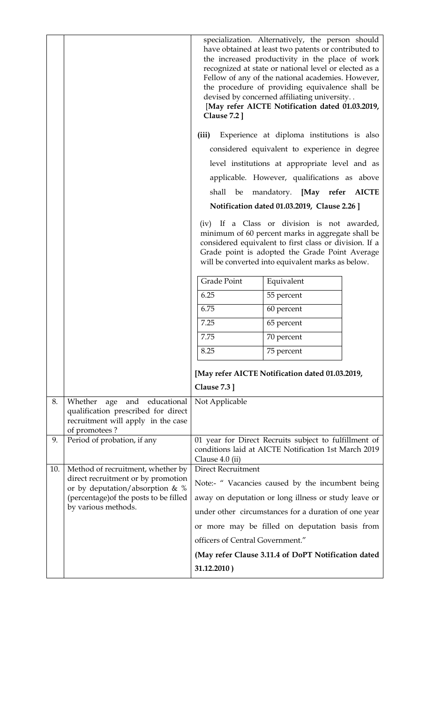|     |                                                                                                                                    | <b>Clause 7.2</b> ]              | specialization. Alternatively, the person should<br>have obtained at least two patents or contributed to<br>the increased productivity in the place of work<br>recognized at state or national level or elected as a<br>Fellow of any of the national academies. However,<br>the procedure of providing equivalence shall be<br>devised by concerned affiliating university<br>[May refer AICTE Notification dated 01.03.2019, |
|-----|------------------------------------------------------------------------------------------------------------------------------------|----------------------------------|--------------------------------------------------------------------------------------------------------------------------------------------------------------------------------------------------------------------------------------------------------------------------------------------------------------------------------------------------------------------------------------------------------------------------------|
|     |                                                                                                                                    | (iii)                            | Experience at diploma institutions is also                                                                                                                                                                                                                                                                                                                                                                                     |
|     |                                                                                                                                    |                                  | considered equivalent to experience in degree                                                                                                                                                                                                                                                                                                                                                                                  |
|     |                                                                                                                                    |                                  | level institutions at appropriate level and as                                                                                                                                                                                                                                                                                                                                                                                 |
|     |                                                                                                                                    |                                  | applicable. However, qualifications as above                                                                                                                                                                                                                                                                                                                                                                                   |
|     |                                                                                                                                    |                                  | shall be mandatory. [May refer AICTE                                                                                                                                                                                                                                                                                                                                                                                           |
|     |                                                                                                                                    |                                  | Notification dated 01.03.2019, Clause 2.26 ]                                                                                                                                                                                                                                                                                                                                                                                   |
|     |                                                                                                                                    |                                  | (iv) If a Class or division is not awarded,<br>minimum of 60 percent marks in aggregate shall be<br>considered equivalent to first class or division. If a<br>Grade point is adopted the Grade Point Average<br>will be converted into equivalent marks as below.                                                                                                                                                              |
|     |                                                                                                                                    | Grade Point                      | Equivalent                                                                                                                                                                                                                                                                                                                                                                                                                     |
|     |                                                                                                                                    | 6.25                             | 55 percent                                                                                                                                                                                                                                                                                                                                                                                                                     |
|     |                                                                                                                                    | 6.75                             | 60 percent                                                                                                                                                                                                                                                                                                                                                                                                                     |
|     |                                                                                                                                    | 7.25                             | 65 percent                                                                                                                                                                                                                                                                                                                                                                                                                     |
|     |                                                                                                                                    | 7.75                             | 70 percent                                                                                                                                                                                                                                                                                                                                                                                                                     |
|     |                                                                                                                                    | 8.25                             | 75 percent                                                                                                                                                                                                                                                                                                                                                                                                                     |
|     |                                                                                                                                    | Clause $7.3$ ]                   | [May refer AICTE Notification dated 01.03.2019,                                                                                                                                                                                                                                                                                                                                                                                |
| 8.  | Whether<br>educational<br>and<br>age<br>qualification prescribed for direct<br>recruitment will apply in the case<br>of promotees? | Not Applicable                   |                                                                                                                                                                                                                                                                                                                                                                                                                                |
| 9.  | Period of probation, if any                                                                                                        | Clause 4.0 (ii)                  | 01 year for Direct Recruits subject to fulfillment of<br>conditions laid at AICTE Notification 1st March 2019                                                                                                                                                                                                                                                                                                                  |
| 10. | Method of recruitment, whether by                                                                                                  | <b>Direct Recruitment</b>        |                                                                                                                                                                                                                                                                                                                                                                                                                                |
|     | direct recruitment or by promotion<br>or by deputation/absorption & %                                                              |                                  | Note:- " Vacancies caused by the incumbent being                                                                                                                                                                                                                                                                                                                                                                               |
|     | (percentage) of the posts to be filled                                                                                             |                                  | away on deputation or long illness or study leave or                                                                                                                                                                                                                                                                                                                                                                           |
|     | by various methods.                                                                                                                |                                  | under other circumstances for a duration of one year                                                                                                                                                                                                                                                                                                                                                                           |
|     |                                                                                                                                    |                                  | or more may be filled on deputation basis from                                                                                                                                                                                                                                                                                                                                                                                 |
|     |                                                                                                                                    | officers of Central Government." |                                                                                                                                                                                                                                                                                                                                                                                                                                |
|     |                                                                                                                                    |                                  | (May refer Clause 3.11.4 of DoPT Notification dated                                                                                                                                                                                                                                                                                                                                                                            |
|     |                                                                                                                                    | 31.12.2010)                      |                                                                                                                                                                                                                                                                                                                                                                                                                                |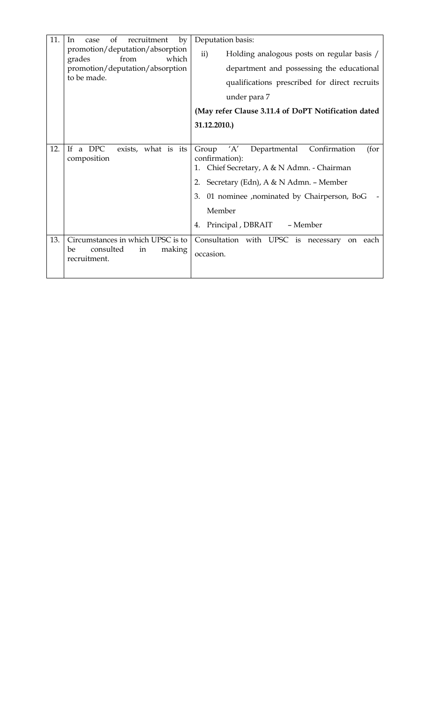| 11. | of<br>recruitment<br>by<br>In<br>case                      | Deputation basis:                                                                                                    |
|-----|------------------------------------------------------------|----------------------------------------------------------------------------------------------------------------------|
|     | promotion/deputation/absorption<br>grades<br>from<br>which | ii)<br>Holding analogous posts on regular basis /                                                                    |
|     | promotion/deputation/absorption                            | department and possessing the educational                                                                            |
|     | to be made.                                                | qualifications prescribed for direct recruits                                                                        |
|     |                                                            | under para 7                                                                                                         |
|     |                                                            | (May refer Clause 3.11.4 of DoPT Notification dated                                                                  |
|     |                                                            | 31.12.2010.)                                                                                                         |
|     |                                                            |                                                                                                                      |
| 12. | If a DPC<br>exists, what is its<br>composition             | 'A'<br>Departmental<br>Confirmation<br>Group<br>(for<br>confirmation):<br>1. Chief Secretary, A & N Admn. - Chairman |
|     |                                                            | Secretary (Edn), A & N Admn. - Member<br>2.                                                                          |
|     |                                                            | 01 nominee , nominated by Chairperson, BoG<br>3.                                                                     |
|     |                                                            | Member                                                                                                               |
|     |                                                            | - Member<br>Principal, DBRAIT<br>4.                                                                                  |
| 13. | Circumstances in which UPSC is to                          | Consultation with UPSC is necessary<br>on each                                                                       |
|     | consulted<br>making<br>be<br>in<br>recruitment.            | occasion.                                                                                                            |
|     |                                                            |                                                                                                                      |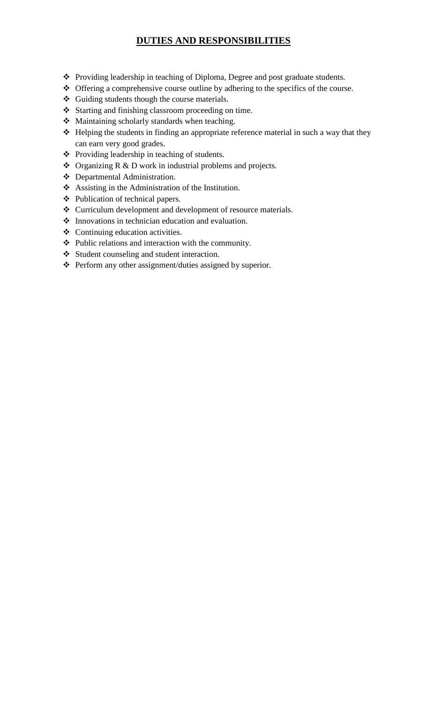# **DUTIES AND RESPONSIBILITIES**

- Providing leadership in teaching of Diploma, Degree and post graduate students.
- Offering a comprehensive course outline by adhering to the specifics of the course.
- Guiding students though the course materials.
- Starting and finishing classroom proceeding on time.
- Maintaining scholarly standards when teaching.
- Helping the students in finding an appropriate reference material in such a way that they can earn very good grades.
- Providing leadership in teaching of students.
- Organizing R & D work in industrial problems and projects.
- Departmental Administration.
- Assisting in the Administration of the Institution.
- Publication of technical papers.
- Curriculum development and development of resource materials.
- $\triangle$  Innovations in technician education and evaluation.
- Continuing education activities.
- $\div$  Public relations and interaction with the community.
- Student counseling and student interaction.
- Perform any other assignment/duties assigned by superior.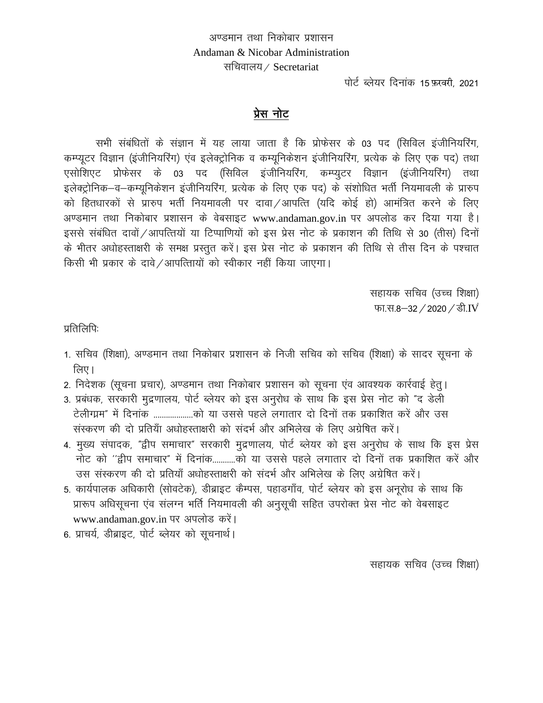अण्डमान तथा निकोबार प्रशासन Andaman & Nicobar Administration सचिवालय / Secretariat

पोर्ट ब्लेयर दिनांक 15 फ़रवरी, 2021

## प्रेस नोट

सभी संबंधितों के संज्ञान में यह लाया जाता है कि प्रोफेसर के 03 पद (सिविल इंजीनियरिंग, कम्प्यूटर विज्ञान (इंजीनियरिंग) एंव इलेक्ट्रोनिक व कम्यूनिकेशन इंजीनियरिंग, प्रत्येक के लिए एक पद) तथा एसोशिएट प्रोफेसर के 03 पद (सिविल इंजीनियरिंग, कम्प्युटर विज्ञान (इंजीनियरिंग) तथा इलेक्ट्रोनिक–व–कम्यूनिकेशन इंजीनियरिंग, प्रत्येक के लिए एक पद) के संशोधित भर्ती नियमावली के प्रारुप को हितधारकों से प्रारुप भर्ती नियमावली पर दावा /आपत्ति (यदि कोई हो) आमंत्रित करने के लिए अण्डमान तथा निकोबार प्रशासन के वेबसाइट www.andaman.gov.in पर अपलोड कर दिया गया है। इससे संबंधित दावों /आपत्तियों या टिप्पाणियों को इस प्रेस नोट के प्रकाशन की तिथि से 30 (तीस) दिनों के भीतर अधोहस्ताक्षरी के समक्ष प्रस्तुत करें। इस प्रेस नोट के प्रकाशन की तिथि से तीस दिन के पश्चात किसी भी प्रकार के दावे /आपत्तिायों को स्वीकार नहीं किया जाएगा।

> सहायक सचिव (उच्च शिक्षा) फा.स.8-32 / 2020 / डी.IV

प्रतिलिपि:

- 1. सचिव (शिक्षा), अण्डमान तथा निकोबार प्रशासन के निजी सचिव को सचिव (शिक्षा) के सादर सूचना के लिए ।
- 2. निदेशक (सूचना प्रचार), अण्डमान तथा निकोबार प्रशासन को सूचना एंव आवश्यक कार्रवाई हेतु।
- 3. प्रबंधक, सरकारी मुद्रणालय, पोर्ट ब्लेयर को इस अनुरोध के साथ कि इस प्रेस नोट को "द डेली टेलीग्म्म" में दिनांक ...................को या उससे पहले लगातार दो दिनों तक प्रकाशित करें और उस संस्करण की दो प्रतियाँ अधोहस्ताक्षरी को संदर्भ और अभिलेख के लिए अग्रेषित करें।
- 4. मुख्य संपादक, "द्वीप समाचार" सरकारी मुद्रणालय, पोर्ट ब्लेयर को इस अनुरोध के साथ कि इस प्रेस नोट को ''द्दीप समाचार" में दिनांक..........को या उससे पहले लगातार दो दिनों तक प्रकाशित करें और उस संस्करण की दो प्रतियाँ अधोहस्ताक्षरी को संदर्भ और अभिलेख के लिए अग्रेषित करें।
- 5. कार्यपालक अधिकारी (सोवटेक), डीब्राइट कैम्पस, पहाडगाँव, पोर्ट ब्लेयर को इस अनूरोध के साथ कि प्रारूप अधिसूचना एंव संलग्न भर्ति नियमावली की अनुसूची सहित उपरोक्त प्रेस नोट को वेबसाइट www.andaman.gov.in पर अपलोड करें।
- 6. प्राचर्य, डीब्राइट, पोर्ट ब्लेयर को सूचनार्थ।

सहायक सचिव (उच्च शिक्षा)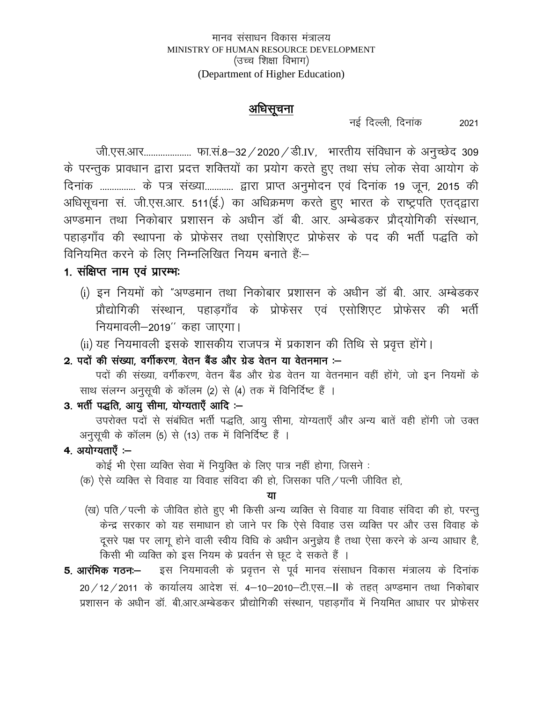#### अधिसचना

नई दिल्ली, दिनांक

2021

जी.एस.आर..................... फा.सं.8-32 / 2020 / डी.IV, भारतीय संविधान के अनुच्छेद 309 के परन्तुक प्रावधान द्वारा प्रदत्त शक्तियों का प्रयोग करते हुए तथा संघ लोक सेवा आयोग के दिनांक ............... के पत्र संख्या............ द्वारा प्राप्त अनुमोदन एवं दिनांक 19 जून, 2015 की अधिसूचना सं. जी.एस.आर. 511(ई.) का अधिक्रमण करते हुए भारत के राष्ट्रपति एतद्द्वारा अण्डमान तथा निकोबार प्रशासन के अधीन डॉ बी. आर. अम्बेडकर प्रौदयोगिकी संस्थान, पहाडगाँव की स्थापना के प्रोफेसर तथा एसोशिएट प्रोफेसर के पद की भर्ती पद्धति को विनियमित करने के लिए निम्नलिखित नियम बनाते हैं:--

# 1. संक्षिप्त नाम एवं प्रारम्भः

- (i) इन नियमों को "अण्डमान तथा निकोबार प्रशासन के अधीन डॉ बी. आर. अम्बेडकर प्रौद्योगिकी संस्थान, पहाडगाँव के प्रोफेसर एवं एसोशिएट प्रोफेसर की भर्ती नियमावली–2019'' कहा जाएगा।
- (ii) यह नियमावली इसके शासकीय राजपत्र में प्रकाशन की तिथि से प्रवृत्त होंगे।

2. पदों की संख्या. वर्गीकरण. वेतन बैंड और ग्रेड वेतन या वेतनमान :-

पदों की संख्या, वर्गीकरण, वेतन बैंड और ग्रेड वेतन या वेतनमान वहीं होंगे, जो इन नियमों के साथ संलग्न अनुसूची के कॉलम (2) से (4) तक में विनिर्दिष्ट हैं ।

# 3. भर्ती पद्धति, आयु सीमा, योग्यताएँ आदि :-

उपरोक्त पदों से संबंधित भर्ती पद्धति, आयु सीमा, योग्यताएँ और अन्य बातें वही होंगी जो उक्त अनुसूची के कॉलम (5) से (13) तक में विनिर्दिष्ट हैं ।

### 4. अयोग्यताएँ :-

कोई भी ऐसा व्यक्ति सेवा में नियुक्ति के लिए पात्र नहीं होगा, जिसने :

(क) ऐसे व्यक्ति से विवाह या विवाह संविदा की हो. जिसका पति ⁄ पत्नी जीवित हो.

#### या

- (ख) पति / पत्नी के जीवित होते हुए भी किसी अन्य व्यक्ति से विवाह या विवाह संविदा की हो, परन्तु केन्द्र सरकार को यह समाधान हो जाने पर कि ऐसे विवाह उस व्यक्ति पर और उस विवाह के दूसरे पक्ष पर लागू होने वाली स्वीय विधि के अधीन अनुज्ञेय है तथा ऐसा करने के अन्य आधार है, किसी भी व्यक्ति को इस नियम के प्रवर्तन से छूट दे सकते हैं ।
- इस नियमावली के प्रवृत्तन से पूर्व मानव संसाधन विकास मंत्रालय के दिनांक 5. आरंभिक गठनः— 20 / 12 / 2011 के कार्यालय आदेश सं. 4-10-2010-टी.एस.-II के तहत अण्डमान तथा निकोबार प्रशासन के अधीन डॉ. बी.आर.अम्बेडकर प्रौद्योगिकी संस्थान. पहाडगाँव में नियमित आधार पर प्रोफेसर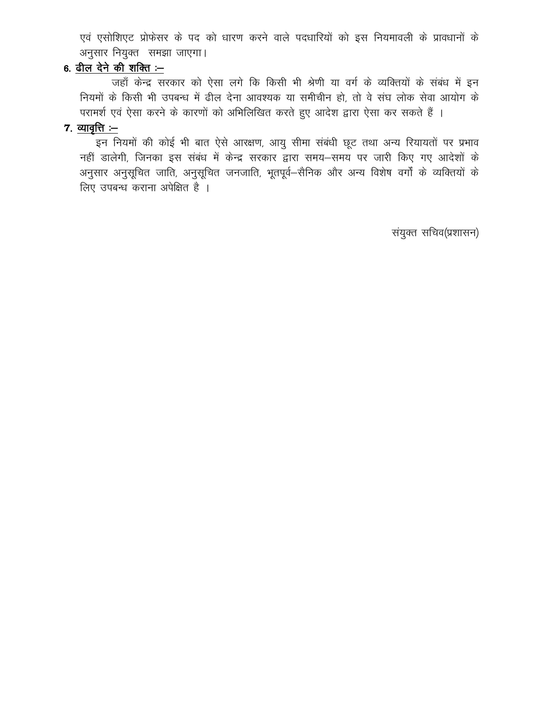एवं एसोशिएट प्रोफेसर के पद को धारण करने वाले पदधारियों को इस नियमावली के प्रावधानों के अनुसार नियुक्त समझा जाएगा।

# 6. ढील देने की शक्ति $-$

जहाँ केन्द्र सरकार को ऐसा लगे कि किसी भी श्रेणी या वर्ग के व्यक्तियों के संबंध में इन नियमों के किसी भी उपबन्ध में ढील देना आवश्यक या समीचीन हो, तो वे संघ लोक सेवा आयोग के परामर्श एवं ऐसा करने के कारणों को अभिलिखित करते हुए आदेश द्वारा ऐसा कर सकते हैं ।

### $7.$  व्यावृत्ति $-$

\_\_\_\_\_<br>इन नियमों की कोई भी बात ऐसे आरक्षण, आयु सीमा संबंधी छूट तथा अन्य रियायतों पर प्रभाव नहीं डालेगी, जिनका इस संबंध में केन्द्र सरकार द्वारा समय-समय पर जारी किए गए आदेशों के अनुसार अनुसूचित जाति, अनुसूचित जनजाति, भूतपूर्व–सैनिक और अन्य विशेष वर्गों के व्यक्तियों के लिए उपबन्ध कराना अपेक्षित है ।

संयुक्त सचिव(प्रशासन)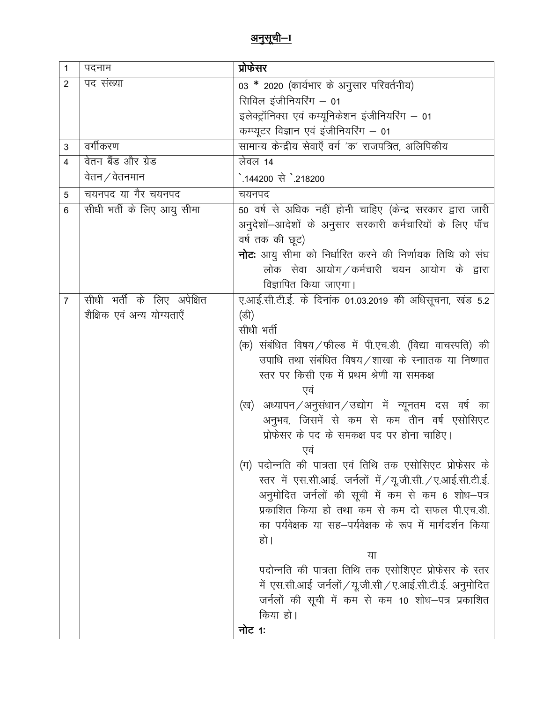| $\mathbf{1}$   | पदनाम                                       | प्रोफेसर                                                                                                                                                                                                                                                                                                                                                                                                                                                                                                                                                                                                                                                                                                                                                                                                                                                   |
|----------------|---------------------------------------------|------------------------------------------------------------------------------------------------------------------------------------------------------------------------------------------------------------------------------------------------------------------------------------------------------------------------------------------------------------------------------------------------------------------------------------------------------------------------------------------------------------------------------------------------------------------------------------------------------------------------------------------------------------------------------------------------------------------------------------------------------------------------------------------------------------------------------------------------------------|
| $\overline{2}$ | पद संख्या                                   | 03 * 2020 (कार्यभार के अनुसार परिवर्तनीय)<br>सिविल इंजीनियरिंग – 01<br>इलेक्ट्रॉनिक्स एवं कम्यूनिकेशन इंजीनियरिंग – 01<br>कम्प्यूटर विज्ञान एवं इंजीनियरिंग - 01                                                                                                                                                                                                                                                                                                                                                                                                                                                                                                                                                                                                                                                                                           |
| 3              | वर्गीकरण                                    | सामान्य केन्द्रीय सेवाएँ वर्ग 'क' राजपत्रित, अलिपिकीय                                                                                                                                                                                                                                                                                                                                                                                                                                                                                                                                                                                                                                                                                                                                                                                                      |
| 4              | वेतन बैंड और ग्रेड<br>वेतन $\angle$ वेतनमान | लेवल 14<br>ै.144200 से `.218200                                                                                                                                                                                                                                                                                                                                                                                                                                                                                                                                                                                                                                                                                                                                                                                                                            |
| 5              | चयनपद या गैर चयनपद                          | चयनपद                                                                                                                                                                                                                                                                                                                                                                                                                                                                                                                                                                                                                                                                                                                                                                                                                                                      |
| 6              | सीधी भर्ती के लिए आयु सीमा                  | 50 वर्ष से अधिक नहीं होनी चाहिए (केन्द्र सरकार द्वारा जारी<br>अनुदेशों -आदेशों के अनुसार सरकारी कर्मचारियों के लिए पाँच<br>वर्ष तक की छूट)<br><b>नोट</b> : आयु सीमा को निर्धारित करने की निर्णायक तिथि को संघ<br>लोक सेवा आयोग / कर्मचारी चयन आयोग के द्वारा<br>विज्ञापित किया जाएगा।                                                                                                                                                                                                                                                                                                                                                                                                                                                                                                                                                                      |
| $\overline{7}$ | सीधी भर्ती के लिए अपेक्षित                  | ए.आई.सी.टी.ई. के दिनांक 01.03.2019 की अधिसूचना, खंड 5.2                                                                                                                                                                                                                                                                                                                                                                                                                                                                                                                                                                                                                                                                                                                                                                                                    |
|                | शैक्षिक एवं अन्य योग्यताएँ                  | (डी)<br>सीधी भर्ती<br>(क) संबंधित विषय ⁄ फील्ड में पी.एच.डी. (विद्या वाचस्पति) की<br>उपाधि तथा संबंधित विषय/शाखा के स्नाातक या निष्णात<br>स्तर पर किसी एक में प्रथम श्रेणी या समकक्ष<br>एव<br>(ख) अध्यापन/अनुसंधान/उद्योग में न्यूनतम दस वर्ष का<br>अनुभव, जिसमें से कम से कम तीन वर्ष एसोसिएट<br>प्रोफेसर के पद के समकक्ष पद पर होना चाहिए।<br>एव<br>(ग) पदोन्नति की पात्रता एवं तिथि तक एसोसिएट प्रोफेसर के<br>रतर में एस.सी.आई. जर्नलों में / यू.जी.सी. / ए.आई.सी.टी.ई.<br>अनुमोदित जर्नलों की सूची में कम से कम 6 शोध–पत्र<br>प्रकाशित किया हो तथा कम से कम दो सफल पी.एच.डी.<br>का पर्यवेक्षक या सह—पर्यवेक्षक के रूप में मार्गदर्शन किया<br>हो ।<br>या<br>पदोन्नति की पात्रता तिथि तक एसोशिएट प्रोफेसर के स्तर<br>में एस.सी.आई जर्नलों / यू.जी.सी / ए.आई.सी.टी.ई. अनुमोदित<br>जर्नलों की सूची में कम से कम 10 शोध-पत्र प्रकाशित<br>किया हो।<br>नोट 1ः |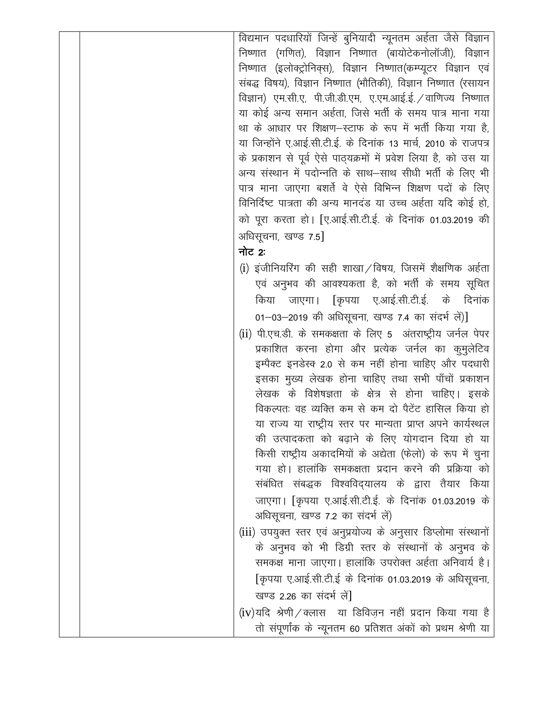| विद्यमान पदधारियों जिन्हें बुनियादी न्यूनतम अर्हता जैसे विज्ञान  |
|------------------------------------------------------------------|
| निष्णात (गणित), विज्ञान निष्णात (बायोटेकनोलॉजी), विज्ञान         |
| निष्णात (इलोक्ट्रोनिक्स), विज्ञान निष्णात(कम्प्यूटर विज्ञान एवं  |
| संबद्ध विषय), विज्ञान निष्णात (भौतिकी), विज्ञान निष्णात (रसायन   |
| विज्ञान) एम.सी.ए, पी.जी.डी.एम, ए.एम.आई.ई. /वाणिज्य निष्णात       |
| या कोई अन्य समान अर्हता, जिसे भर्ती के समय पात्र माना गया        |
| था के आधार पर शिक्षण–स्टाफ के रूप में भर्ती किया गया है,         |
| या जिन्होंने ए.आई.सी.टी.ई. के दिनांक 13 मार्च, 2010 के राजपत्र   |
| के प्रकाशन से पूर्व ऐसे पाठ्यक्रमों में प्रवेश लिया है, को उस या |
| अन्य संस्थान में पदोन्नति के साथ–साथ सीधी भर्ती के लिए भी        |
| पात्र माना जाएगा बशर्ते वे ऐसे विभिन्न शिक्षण पदों के लिए        |
| विनिर्दिष्ट पात्रता की अन्य मानदंड या उच्च अर्हता यदि कोई हो,    |
| को पूरा करता हो। [ए.आई.सी.टी.ई. के दिनांक 01.03.2019 की          |
| अधिसूचना, खण्ड 7.5]                                              |
| नोट 2:                                                           |
| (i) इंजीनियरिंग की सही शाखा/विषय, जिसमें शैक्षणिक अर्हता         |
| एवं अनुभव की आवश्यकता है, को भर्ती के समय सूचित                  |
| जाएगा। [कृपया ए.आई.सी.टी.ई. के दिनांक<br>किया                    |
| 01–03–2019 की अधिसूचना, खण्ड 7.4 का संदर्भ लें)]                 |
| (ii) पी.एच.डी. के समकक्षता के लिए 5 अंतराष्ट्रीय जर्नल पेपर      |
|                                                                  |
| प्रकाशित करना होगा और प्रत्येक जर्नल का कुमुलेटिव                |
| इम्पैक्ट इनडेस्क 2.0 से कम नहीं होना चाहिए और पदधारी             |
| इसका मुख्य लेखक होना चाहिए तथा सभी पाँचों प्रकाशन                |
| लेखक के विशेषज्ञता के क्षेत्र से होना चाहिए। इसके                |
| विकल्पतः वह व्यक्ति कम से कम दो पैटेंट हासिल किया हो             |
| या राज्य या राष्ट्रीय स्तर पर मान्यता प्राप्त अपने कार्यस्थल     |
| की उत्पादकता को बढ़ाने के लिए योगदान दिया हो या                  |
| किसी राष्ट्रीय अकादमियों के अद्येता (फेलो) के रूप में चुना       |
| गया हो। हालांकि समकक्षता प्रदान करने की प्रक्रिया को             |
| संबंधित संबद्धक विश्वविद्यालय के द्वारा तैयार किया               |
| जाएगा। [कृपया ए.आई.सी.टी.ई. के दिनांक 01.03.2019 के              |
| अधिसूचना, खण्ड 7.2 का संदर्भ लें)                                |
| (iii) उपयुक्त स्तर एवं अनुप्रयोज्य के अनुसार डिप्लोमा संस्थानों  |
| के अनुभव को भी डिग्री स्तर के संस्थानों के अनुभव के              |
| समकक्ष माना जाएगा। हालांकि उपरोक्त अर्हता अनिवार्य है।           |
| [कृपया ए.आई.सी.टी.ई के दिनांक 01.03.2019 के अधिसूचना,            |
| खण्ड 2.26 का संदर्भ लें]                                         |
| $(iv)$ यदि श्रेणी / क्लास या डिविज़न नहीं प्रदान किया गया है     |
| तो संपूर्णांक के न्यूनतम 60 प्रतिशत अंकों को प्रथम श्रेणी या     |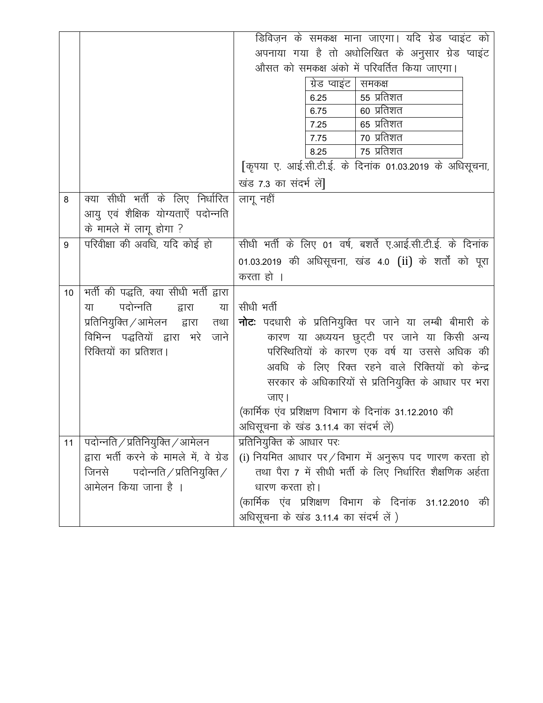|    |                                          | डिविज़न के समकक्ष माना जाएगा। यदि ग्रेड प्वाइंट को                                                       |
|----|------------------------------------------|----------------------------------------------------------------------------------------------------------|
|    |                                          | अपनाया गया है तो अधोलिखित के अनुसार ग्रेड प्वाइंट                                                        |
|    |                                          | औसत को समकक्ष अंको में परिवर्तित किया जाएगा।                                                             |
|    |                                          | ग्रेड प्वाइंट  <br>समकक्ष                                                                                |
|    |                                          | 55 प्रतिशत<br>6.25                                                                                       |
|    |                                          | 60 प्रतिशत<br>6.75                                                                                       |
|    |                                          | 65 प्रतिशत<br>7.25                                                                                       |
|    |                                          | ७० प्रतिशत<br>7.75                                                                                       |
|    |                                          | $75 \overline{\smash{\mathrm{H}}\overline{\mathrm{H}}\overline{\mathrm{H}}\overline{\mathrm{H}}$<br>8.25 |
|    |                                          | [कृपया ए. आई.सी.टी.ई. के दिनांक 01.03.2019 के अधिसूचना,                                                  |
|    |                                          | खंड 7.3 का संदर्भ लें]                                                                                   |
| 8  | क्या सीधी भर्ती के लिए निर्धारित         | लागू नहीं                                                                                                |
|    | आयु एवं शैक्षिक योग्यताएँ पदोन्नति       |                                                                                                          |
|    | के मामले में लागू होगा ?                 |                                                                                                          |
| 9  | परिवीक्षा की अवधि, यदि कोई हो            | सीधी भर्ती के लिए 01 वर्ष, बशर्ते ए.आई.सी.टी.ई. के दिनांक                                                |
|    |                                          | 01.03.2019 की अधिसूचना, खंड 4.0 (ii) के शर्तों को पूरा                                                   |
|    |                                          | करता हो ।                                                                                                |
| 10 | भर्ती की पद्धति, क्या सीधी भर्ती द्वारा  |                                                                                                          |
|    | पदोन्नति<br>द्वारा<br>या<br>या           | सीधी भर्ती                                                                                               |
|    | प्रतिनियुक्ति ⁄ आमेलन वारा<br>तथा        | <b>नोटः</b> पदधारी के प्रतिनियुक्ति पर जाने या लम्बी बीमारी के                                           |
|    | विभिन्न पद्धतियों द्वारा भरे जाने        | कारण या अध्ययन छुट्टी पर जाने या किसी अन्य                                                               |
|    | रिक्तियों का प्रतिशत।                    | परिस्थितियों के कारण एक वर्ष या उससे अधिक की                                                             |
|    |                                          | अवधि के लिए रिक्त रहने वाले रिक्तियों को केन्द्र                                                         |
|    |                                          | सरकार के अधिकारियों से प्रतिनियुक्ति के आधार पर भरा                                                      |
|    |                                          | जाए।                                                                                                     |
|    |                                          | (कार्मिक एंव प्रशिक्षण विभाग के दिनांक 31.12.2010 की                                                     |
|    |                                          | अधिसूचना के खंड 3.11.4 का संदर्भ लें)                                                                    |
| 11 | पदोन्नति / प्रतिनियुक्ति / आमेलन         | प्रतिनियुक्ति के आधार पर:                                                                                |
|    | द्वारा भर्ती करने के मामले में, वे ग्रेड | (i) नियमित आधार पर/विभाग में अनुरूप पद णारण करता हो                                                      |
|    | जिनसे पदोन्नति / प्रतिनियुक्ति /         | तथा पैरा 7 में सीधी भर्ती के लिए निर्धारित शैक्षणिक अर्हता                                               |
|    | आमेलन किया जाना है ।                     | धारण करता हो।                                                                                            |
|    |                                          | (कार्मिक एंव प्रशिक्षण विभाग के दिनांक 31.12.2010 की                                                     |
|    |                                          | अधिसूचना के खंड 3.11.4 का संदर्भ लें )                                                                   |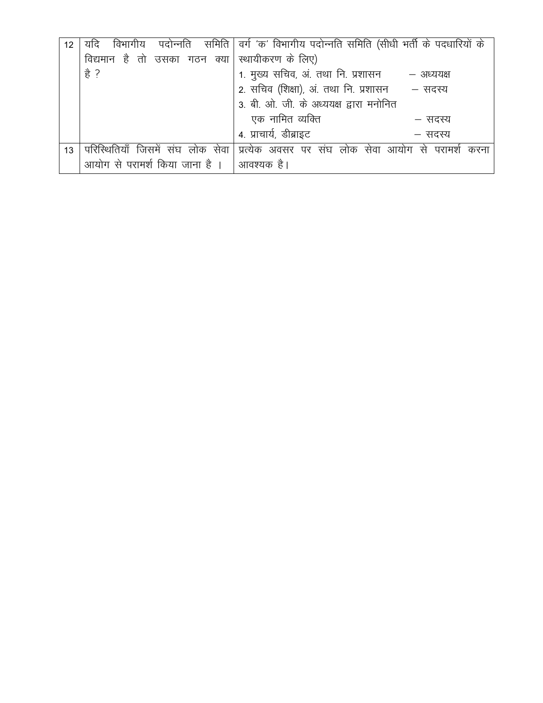| 12 | विभागीय<br>यदि                 | पदोन्नति    समिति   वर्ग 'क' विभागीय पदोन्नति समिति (सीधी भर्ती के पदधारियों के |
|----|--------------------------------|---------------------------------------------------------------------------------|
|    | विद्यमान है तो उसका गठन क्या।  | स्थायीकरण के लिए)                                                               |
|    | हे ?                           | 1. मुख्य सचिव, अं. तथा नि. प्रशासन<br>– अध्ययक्ष                                |
|    |                                | 2. सचिव (शिक्षा), अं. तथा नि. प्रशासन - सदस्य                                   |
|    |                                | 3. बी. ओ. जी. के अध्ययक्ष द्वारा मनोनित                                         |
|    |                                | एक नामित व्यक्ति<br>— सदस्य                                                     |
|    |                                | 4. प्राचार्य, डीब्राइट<br>— सदस्य                                               |
| 13 | जिसमें संघ लोक सेवा            | प्रत्येक अवसर पर संघ लोक सेवा आयोग से परामर्श<br>करना                           |
|    | आयोग से परामर्श किया जाना है । | आवश्यक है।                                                                      |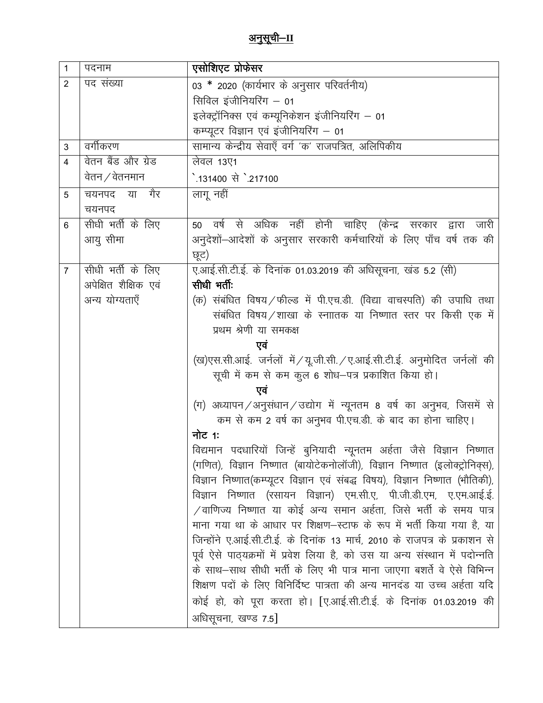| $\mathbf{1}$   | पदनाम                 | एसोशिएट प्रोफेसर                                                                                                                                       |
|----------------|-----------------------|--------------------------------------------------------------------------------------------------------------------------------------------------------|
| 2              | पद संख्या             | 03 * 2020 (कार्यभार के अनुसार परिवर्तनीय)                                                                                                              |
|                |                       | सिविल इंजीनियरिंग – 01                                                                                                                                 |
|                |                       | इलेक्ट्रॉनिक्स एवं कम्यूनिकेशन इंजीनियरिंग – 01                                                                                                        |
|                |                       | कम्प्यूटर विज्ञान एवं इंजीनियरिंग - 01                                                                                                                 |
| 3              | वर्गीकरण              | सामान्य केन्द्रीय सेवाएँ वर्ग 'क' राजपत्रित, अलिपिकीय                                                                                                  |
| $\overline{4}$ | वेतन बैंड और ग्रेड    | लेवल 13ए1                                                                                                                                              |
|                | वेतन $\angle$ वेतनमान | े.131400 से `.217100                                                                                                                                   |
| 5              | चयनपद या गैर          | लागू नहीं                                                                                                                                              |
|                | चयनपद                 |                                                                                                                                                        |
| 6              | सीधी भर्ती के लिए     | वर्ष से अधिक नहीं होनी चाहिए (केन्द्र सरकार द्वारा जारी<br>50                                                                                          |
|                | आयु सीमा              | अनुदेशों–आदेशों के अनुसार सरकारी कर्मचारियों के लिए पाँच वर्ष तक की                                                                                    |
|                |                       | छूट)                                                                                                                                                   |
| $\overline{7}$ | सीधी भर्ती के लिए     | ए.आई.सी.टी.ई. के दिनांक 01.03.2019 की अधिसूचना, खंड 5.2 (सी)                                                                                           |
|                | अपेक्षित शैक्षिक एवं  | सीधी भर्ती:                                                                                                                                            |
|                | अन्य योग्यताएँ        | (क) संबंधित विषय / फील्ड में पी.एच.डी. (विद्या वाचस्पति) की उपाधि तथा                                                                                  |
|                |                       | संबंधित विषय/शाखा के स्नाातक या निष्णात स्तर पर किसी एक में                                                                                            |
|                |                       | प्रथम श्रेणी या समकक्ष                                                                                                                                 |
|                |                       | एवं                                                                                                                                                    |
|                |                       | (ख)एस.सी.आई. जर्नलों में / यू.जी.सी. / ए.आई.सी.टी.ई. अनुमोदित जर्नलों की                                                                               |
|                |                       | सूची में कम से कम कुल 6 शोध–पत्र प्रकाशित किया हो।                                                                                                     |
|                |                       | एवं                                                                                                                                                    |
|                |                       | (ग) अध्यापन/अनुसंधान/उद्योग में न्यूनतम 8 वर्ष का अनुभव, जिसमें से                                                                                     |
|                |                       | कम से कम 2 वर्ष का अनुभव पी.एच.डी. के बाद का होना चाहिए।                                                                                               |
|                |                       | नोट 1:                                                                                                                                                 |
|                |                       | विद्यमान पदधारियों जिन्हें बुनियादी न्यूनतम अर्हता जैसे विज्ञान निष्णात                                                                                |
|                |                       | (गणित), विज्ञान निष्णात (बायोटेकनोलॉजी), विज्ञान निष्णात (इलोक्ट्रोनिक्स),                                                                             |
|                |                       | विज्ञान निष्णात(कम्प्यूटर विज्ञान एवं संबद्ध विषय), विज्ञान निष्णात (भौतिकी),                                                                          |
|                |                       | विज्ञान निष्णात (रसायन विज्ञान) एम.सी.ए, पी.जी.डी.एम, ए.एम.आई.ई.                                                                                       |
|                |                       | $\sqrt{a}$ ाणिज्य निष्णात या कोई अन्य समान अर्हता, जिसे भर्ती के समय पात्र<br>माना गया था के आधार पर शिक्षण–स्टाफ के रूप में भर्ती किया गया है, या     |
|                |                       |                                                                                                                                                        |
|                |                       | जिन्होंने ए.आई.सी.टी.ई. के दिनांक 13 मार्च, 2010 के राजपत्र के प्रकाशन से                                                                              |
|                |                       | पूर्व ऐसे पाठ्यक्रमों में प्रवेश लिया है, को उस या अन्य संस्थान में पदोन्नति<br>के साथ–साथ सीधी भर्ती के लिए भी पात्र माना जाएगा बशर्ते वे ऐसे विभिन्न |
|                |                       | शिक्षण पदों के लिए विनिर्दिष्ट पात्रता की अन्य मानदंड या उच्च अर्हता यदि                                                                               |
|                |                       |                                                                                                                                                        |
|                |                       | कोई हो, को पूरा करता हो। [ए.आई.सी.टी.ई. के दिनांक 01.03.2019 की                                                                                        |
|                |                       | अधिसूचना, खण्ड 7.5]                                                                                                                                    |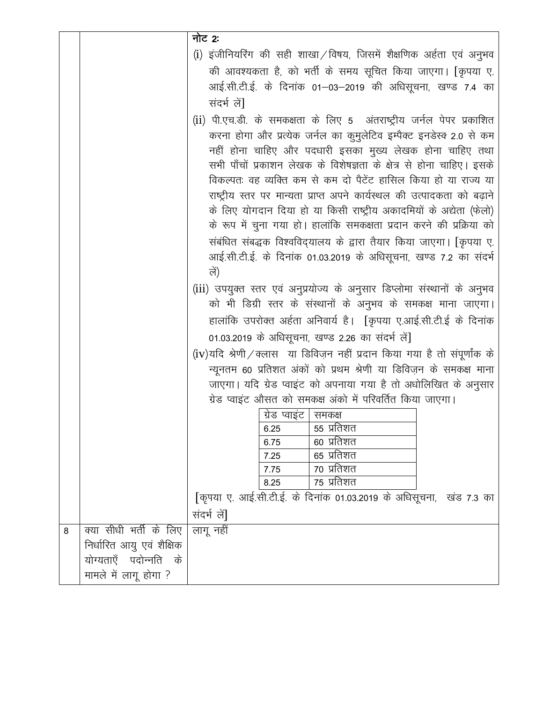|   |                           | नोट 2:                                                                                                                                             |
|---|---------------------------|----------------------------------------------------------------------------------------------------------------------------------------------------|
|   |                           | (i) इंजीनियरिंग की सही शाखा / विषय, जिसमें शैक्षणिक अर्हता एवं अनुभव                                                                               |
|   |                           | की आवश्यकता है, को भर्ती के समय सूचित किया जाएगा। [कृपया ए.                                                                                        |
|   |                           | आई.सी.टी.ई. के दिनांक 01–03–2019 की अधिसूचना, खण्ड 7.4 का                                                                                          |
|   |                           | संदर्भ लें]                                                                                                                                        |
|   |                           | (ii) पी.एच.डी. के समकक्षता के लिए 5 अंतराष्ट्रीय जर्नल पेपर प्रकाशित                                                                               |
|   |                           | करना होगा और प्रत्येक जर्नल का कुमुलेटिव इम्पैक्ट इनडेस्क 2.0 से कम                                                                                |
|   |                           | नहीं होना चाहिए और पदधारी इसका मुख्य लेखक होना चाहिए तथा                                                                                           |
|   |                           | सभी पाँचों प्रकाशन लेखक के विशेषज्ञता के क्षेत्र से होना चाहिए। इसके                                                                               |
|   |                           | विकल्पतः वह व्यक्ति कम से कम दो पैटेंट हासिल किया हो या राज्य या                                                                                   |
|   |                           | राष्ट्रीय स्तर पर मान्यता प्राप्त अपने कार्यस्थल की उत्पादकता को बढ़ाने                                                                            |
|   |                           | के लिए योगदान दिया हो या किसी राष्ट्रीय अकादमियों के अद्येता (फेलो)                                                                                |
|   |                           | के रूप में चुना गया हो। हालांकि समकक्षता प्रदान करने की प्रक्रिया को                                                                               |
|   |                           | संबंधित संबद्धक विश्वविद्यालय के द्वारा तैयार किया जाएगा। [कृपया ए.                                                                                |
|   |                           | आई.सी.टी.ई. के दिनांक 01.03.2019 के अधिसूचना, खण्ड 7.2 का संदर्भ<br>लें)                                                                           |
|   |                           |                                                                                                                                                    |
|   |                           | (iii) उपयुक्त स्तर एवं अनुप्रयोज्य के अनुसार डिप्लोमा संस्थानों के अनुभव<br>को भी डिग्री स्तर के संस्थानों के अनुभव के समकक्ष माना जाएगा।          |
|   |                           | हालांकि उपरोक्त अर्हता अनिवार्य है। [कृपया ए.आई.सी.टी.ई के दिनांक                                                                                  |
|   |                           | 01.03.2019 के अधिसूचना, खण्ड 2.26 का संदर्भ लें]                                                                                                   |
|   |                           |                                                                                                                                                    |
|   |                           | $(iv)$ यदि श्रेणी/क्लास) या डिविज़न नहीं प्रदान किया गया है तो संपूर्णांक के<br>न्यूनतम 60 प्रतिशत अंकों को प्रथम श्रेणी या डिविज़न के समकक्ष माना |
|   |                           | जाएगा। यदि ग्रेड प्वाइंट को अपनाया गया है तो अधोलिखित के अनुसार                                                                                    |
|   |                           | ग्रेड प्वाइंट औसत को समकक्ष अंको में परिवर्तित किया जाएगा।                                                                                         |
|   |                           | ग्रेड प्वाइंट   समकक्ष                                                                                                                             |
|   |                           | 6.25<br>55 प्रतिशत                                                                                                                                 |
|   |                           | 60 प्रतिशत<br>6.75                                                                                                                                 |
|   |                           | 65 प्रतिशत<br>7.25<br>70 प्रतिशत                                                                                                                   |
|   |                           | 7.75<br>75 प्रतिशत<br>8.25                                                                                                                         |
|   |                           | किपया ए. आई.सी.टी.ई. के दिनांक 01.03.2019 के अधिसूचना, खंड 7.3 का                                                                                  |
|   |                           | संदर्भ लें]                                                                                                                                        |
| 8 | क्या सीधी भर्ती के लिए    | लागू नहीं                                                                                                                                          |
|   | निर्धारित आयु एवं शैक्षिक |                                                                                                                                                    |
|   | योग्यताएँ पदोन्नति के     |                                                                                                                                                    |
|   | मामले में लागू होगा ?     |                                                                                                                                                    |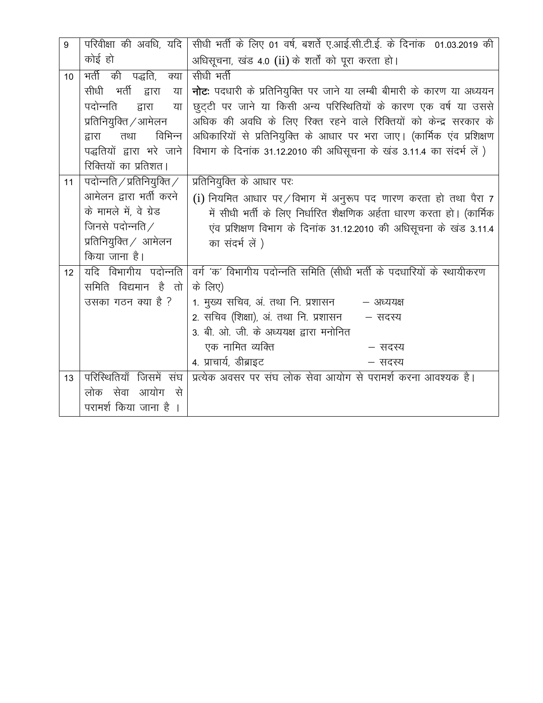| 9  | परिवीक्षा की अवधि, यदि          | सीधी भर्ती के लिए 01 वर्ष, बशर्ते ए.आई.सी.टी.ई. के दिनांक 01.03.2019 की        |
|----|---------------------------------|--------------------------------------------------------------------------------|
|    | कोई हो                          | अधिसूचना, खंड 4.0 (ii) के शर्तों को पूरा करता हो।                              |
| 10 | <u>मर्ती की</u> पद्धति,<br>क्या | सीधी भर्ती                                                                     |
|    | सीधी भर्ती द्वारा<br>या         | <b>नोट</b> : पदधारी के प्रतिनियुक्ति पर जाने या लम्बी बीमारी के कारण या अध्ययन |
|    | पदोन्नति<br>द्वारा<br>या        | छुट्टी पर जाने या किसी अन्य परिस्थितियों के कारण एक वर्ष या उससे               |
|    | प्रतिनियुक्ति / आमेलन           | अधिक की अवधि के लिए रिक्त रहने वाले रिक्तियों को केन्द्र सरकार के              |
|    | विभिन्न<br>द्वारा<br>तथा        | अधिकारियों से प्रतिनियुक्ति के आधार पर भरा जाए। (कार्मिक एंव प्रशिक्षण         |
|    | पद्धतियों द्वारा भरे जाने       | विभाग के दिनांक 31.12.2010 की अधिसूचना के खंड 3.11.4 का संदर्भ लें )           |
|    | रिक्तियों का प्रतिशत।           |                                                                                |
| 11 | पदोन्नति / प्रतिनियुक्ति /      | प्रतिनियुक्ति के आधार पर:                                                      |
|    | आमेलन द्वारा भर्ती करने         | (i) नियमित आधार पर/विभाग में अनुरूप पद णारण करता हो तथा पैरा 7                 |
|    | के मामले में, वे ग्रेड          | में सीधी भर्ती के लिए निर्धारित शैक्षणिक अर्हता धारण करता हो। (कार्मिक         |
|    | जिनसे पदोन्नति $\angle$         | एंव प्रशिक्षण विभाग के दिनांक 31.12.2010 की अधिसूचना के खंड 3.11.4             |
|    | प्रतिनियुक्ति $\angle$ आमेलन    | का संदर्भ लें )                                                                |
|    | किया जाना है।                   |                                                                                |
| 12 | यदि विभागीय पदोन्नति            | वर्ग 'क' विभागीय पदोन्नति समिति (सीधी भर्ती के पदधारियों के स्थायीकरण          |
|    | समिति विद्यमान है तो            | के लिए)                                                                        |
|    | उसका गठन क्या है ?              | 1. मुख्य सचिव, अं. तथा नि. प्रशासन<br>– अध्ययक्ष                               |
|    |                                 | 2. सचिव (शिक्षा), अं. तथा नि. प्रशासन<br>– सदस्य                               |
|    |                                 | 3. बी. ओ. जी. के अध्ययक्ष द्वारा मनोनित                                        |
|    |                                 | एक नामित व्यक्ति<br>– सदस्य                                                    |
|    |                                 | 4. प्राचार्य, डीब्राइट<br>– सदस्य                                              |
| 13 | परिस्थितियाँ जिसमें संघ         | प्रत्येक अवसर पर संघ लोक सेवा आयोग से परामर्श करना आवश्यक है।                  |
|    | लोक सेवा आयोग से                |                                                                                |
|    | परामर्श किया जाना है            |                                                                                |